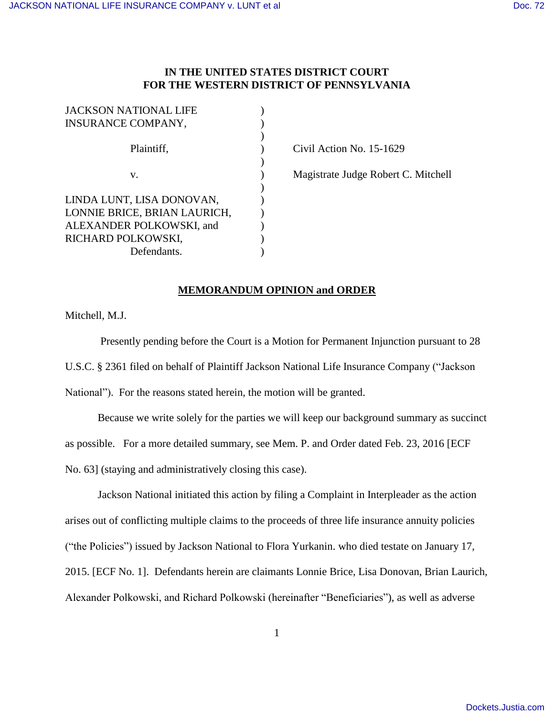## **IN THE UNITED STATES DISTRICT COURT FOR THE WESTERN DISTRICT OF PENNSYLVANIA**

| <b>JACKSON NATIONAL LIFE</b> |  |
|------------------------------|--|
| <b>INSURANCE COMPANY,</b>    |  |
|                              |  |
| Plaintiff,                   |  |
|                              |  |
| v.                           |  |
|                              |  |
| LINDA LUNT, LISA DONOVAN,    |  |
| LONNIE BRICE, BRIAN LAURICH, |  |
| ALEXANDER POLKOWSKI, and     |  |
| RICHARD POLKOWSKI,           |  |
| Defendants.                  |  |

Civil Action No. 15-1629

Magistrate Judge Robert C. Mitchell

## **MEMORANDUM OPINION and ORDER**

Mitchell, M.J.

 Presently pending before the Court is a Motion for Permanent Injunction pursuant to 28 U.S.C. § 2361 filed on behalf of Plaintiff Jackson National Life Insurance Company ("Jackson National"). For the reasons stated herein, the motion will be granted.

 Because we write solely for the parties we will keep our background summary as succinct as possible. For a more detailed summary, see Mem. P. and Order dated Feb. 23, 2016 [ECF No. 63] (staying and administratively closing this case).

 Jackson National initiated this action by filing a Complaint in Interpleader as the action arises out of conflicting multiple claims to the proceeds of three life insurance annuity policies ("the Policies") issued by Jackson National to Flora Yurkanin. who died testate on January 17, 2015. [ECF No. 1]. Defendants herein are claimants Lonnie Brice, Lisa Donovan, Brian Laurich, Alexander Polkowski, and Richard Polkowski (hereinafter "Beneficiaries"), as well as adverse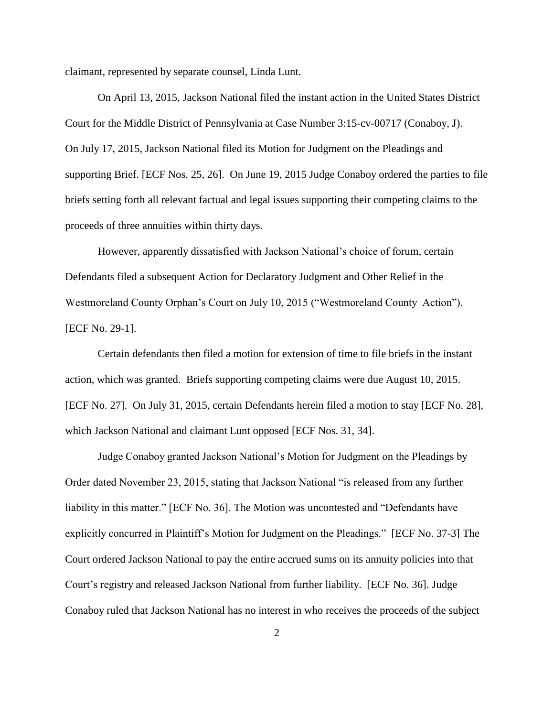claimant, represented by separate counsel, Linda Lunt.

 On April 13, 2015, Jackson National filed the instant action in the United States District Court for the Middle District of Pennsylvania at Case Number 3:15-cv-00717 (Conaboy, J). On July 17, 2015, Jackson National filed its Motion for Judgment on the Pleadings and supporting Brief. [ECF Nos. 25, 26]. On June 19, 2015 Judge Conaboy ordered the parties to file briefs setting forth all relevant factual and legal issues supporting their competing claims to the proceeds of three annuities within thirty days.

 However, apparently dissatisfied with Jackson National's choice of forum, certain Defendants filed a subsequent Action for Declaratory Judgment and Other Relief in the Westmoreland County Orphan's Court on July 10, 2015 ("Westmoreland County Action"). [ECF No. 29-1].

 Certain defendants then filed a motion for extension of time to file briefs in the instant action, which was granted. Briefs supporting competing claims were due August 10, 2015. [ECF No. 27]. On July 31, 2015, certain Defendants herein filed a motion to stay [ECF No. 28], which Jackson National and claimant Lunt opposed [ECF Nos. 31, 34].

Judge Conaboy granted Jackson National's Motion for Judgment on the Pleadings by Order dated November 23, 2015, stating that Jackson National "is released from any further liability in this matter." [ECF No. 36]. The Motion was uncontested and "Defendants have explicitly concurred in Plaintiff's Motion for Judgment on the Pleadings." [ECF No. 37-3] The Court ordered Jackson National to pay the entire accrued sums on its annuity policies into that Court's registry and released Jackson National from further liability. [ECF No. 36]. Judge Conaboy ruled that Jackson National has no interest in who receives the proceeds of the subject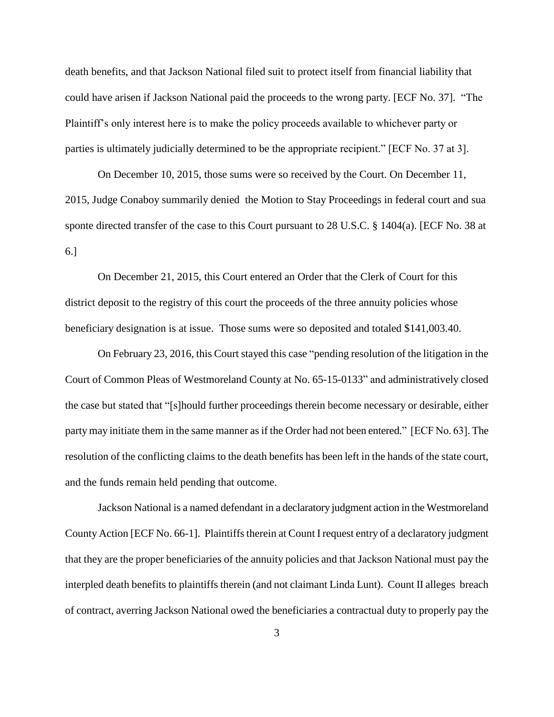death benefits, and that Jackson National filed suit to protect itself from financial liability that could have arisen if Jackson National paid the proceeds to the wrong party. [ECF No. 37]. "The Plaintiff's only interest here is to make the policy proceeds available to whichever party or parties is ultimately judicially determined to be the appropriate recipient." [ECF No. 37 at 3].

 On December 10, 2015, those sums were so received by the Court. On December 11, 2015, Judge Conaboy summarily denied the Motion to Stay Proceedings in federal court and sua sponte directed transfer of the case to this Court pursuant to 28 U.S.C. § 1404(a). [ECF No. 38 at 6.]

 On December 21, 2015, this Court entered an Order that the Clerk of Court for this district deposit to the registry of this court the proceeds of the three annuity policies whose beneficiary designation is at issue. Those sums were so deposited and totaled \$141,003.40.

On February 23, 2016, this Court stayed this case "pending resolution of the litigation in the Court of Common Pleas of Westmoreland County at No. 65-15-0133" and administratively closed the case but stated that "[s]hould further proceedings therein become necessary or desirable, either party may initiate them in the same manner as if the Order had not been entered." [ECF No. 63]. The resolution of the conflicting claims to the death benefits has been left in the hands of the state court, and the funds remain held pending that outcome.

Jackson National is a named defendant in a declaratory judgment action in the Westmoreland County Action [ECF No. 66-1]. Plaintiffs therein at Count I request entry of a declaratory judgment that they are the proper beneficiaries of the annuity policies and that Jackson National must pay the interpled death benefits to plaintiffs therein (and not claimant Linda Lunt). Count II alleges breach of contract, averring Jackson National owed the beneficiaries a contractual duty to properly pay the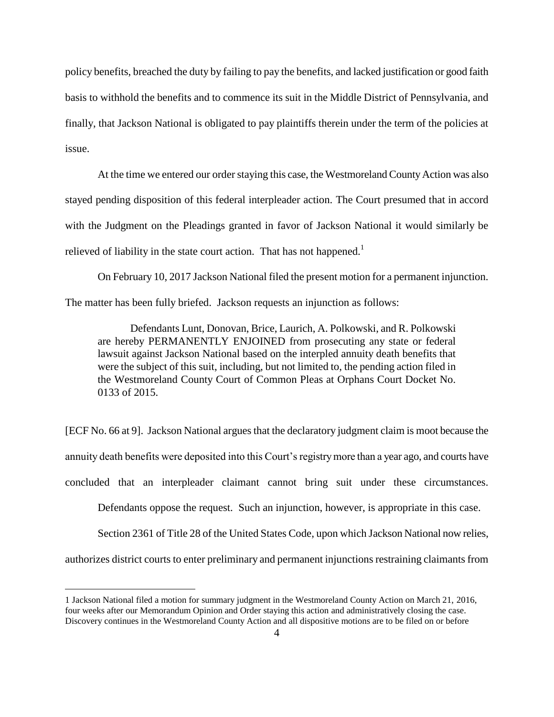policy benefits, breached the duty by failing to pay the benefits, and lacked justification or good faith basis to withhold the benefits and to commence its suit in the Middle District of Pennsylvania, and finally, that Jackson National is obligated to pay plaintiffs therein under the term of the policies at issue.

At the time we entered our order staying this case, the Westmoreland County Action was also stayed pending disposition of this federal interpleader action. The Court presumed that in accord with the Judgment on the Pleadings granted in favor of Jackson National it would similarly be relieved of liability in the state court action. That has not happened.<sup>1</sup>

On February 10, 2017 Jackson National filed the present motion for a permanent injunction. The matter has been fully briefed. Jackson requests an injunction as follows:

Defendants Lunt, Donovan, Brice, Laurich, A. Polkowski, and R. Polkowski are hereby PERMANENTLY ENJOINED from prosecuting any state or federal lawsuit against Jackson National based on the interpled annuity death benefits that were the subject of this suit, including, but not limited to, the pending action filed in the Westmoreland County Court of Common Pleas at Orphans Court Docket No. 0133 of 2015.

[ECF No. 66 at 9]. Jackson National argues that the declaratory judgment claim is moot because the annuity death benefits were deposited into this Court's registry more than a year ago, and courts have concluded that an interpleader claimant cannot bring suit under these circumstances.

Defendants oppose the request. Such an injunction, however, is appropriate in this case.

Section 2361 of Title 28 of the United States Code, upon which Jackson National now relies, authorizes district courts to enter preliminary and permanent injunctions restraining claimants from

 $\overline{a}$ 

<sup>1</sup> Jackson National filed a motion for summary judgment in the Westmoreland County Action on March 21, 2016, four weeks after our Memorandum Opinion and Order staying this action and administratively closing the case. Discovery continues in the Westmoreland County Action and all dispositive motions are to be filed on or before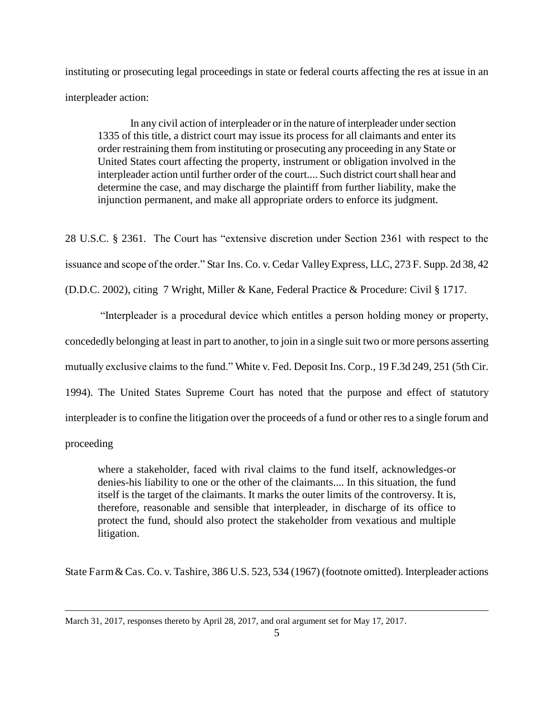instituting or prosecuting legal proceedings in state or federal courts affecting the res at issue in an interpleader action:

In any civil action of interpleader or in the nature of interpleader under section 1335 of this title, a district court may issue its process for all claimants and enter its order restraining them from instituting or prosecuting any proceeding in any State or United States court affecting the property, instrument or obligation involved in the interpleader action until further order of the court.... Such district court shall hear and determine the case, and may discharge the plaintiff from further liability, make the injunction permanent, and make all appropriate orders to enforce its judgment.

28 U.S.C. § 2361. The Court has "extensive discretion under Section 2361 with respect to the issuance and scope of the order." Star Ins. Co. v. Cedar Valley Express, LLC, 273 F. Supp. 2d 38, 42

(D.D.C. 2002), citing 7 Wright, Miller & Kane, Federal Practice & Procedure: Civil § 1717.

"Interpleader is a procedural device which entitles a person holding money or property, concededly belonging at least in part to another, to join in a single suit two or more persons asserting mutually exclusive claims to the fund." White v. Fed. Deposit Ins. Corp., 19 F.3d 249, 251 (5th Cir. 1994). The United States Supreme Court has noted that the purpose and effect of statutory interpleader is to confine the litigation over the proceeds of a fund or other res to a single forum and proceeding

where a stakeholder, faced with rival claims to the fund itself, acknowledges-or denies-his liability to one or the other of the claimants.... In this situation, the fund itself is the target of the claimants. It marks the outer limits of the controversy. It is, therefore, reasonable and sensible that interpleader, in discharge of its office to protect the fund, should also protect the stakeholder from vexatious and multiple litigation.

State Farm & Cas. Co. v. Tashire, 386 U.S. 523, 534 (1967) (footnote omitted). Interpleader actions

 $\overline{a}$ 

March 31, 2017, responses thereto by April 28, 2017, and oral argument set for May 17, 2017.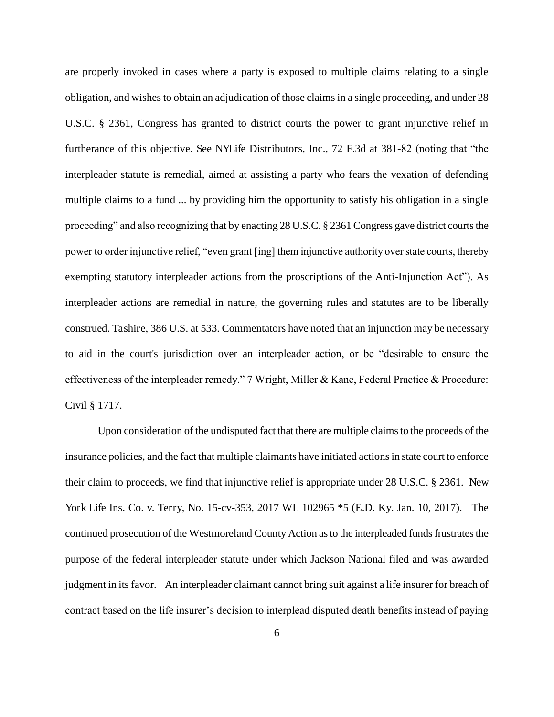are properly invoked in cases where a party is exposed to multiple claims relating to a single obligation, and wishes to obtain an adjudication of those claims in a single proceeding, and under 28 U.S.C. § 2361, Congress has granted to district courts the power to grant injunctive relief in furtherance of this objective. See NYLife Distributors, Inc., 72 F.3d at 381-82 (noting that "the interpleader statute is remedial, aimed at assisting a party who fears the vexation of defending multiple claims to a fund ... by providing him the opportunity to satisfy his obligation in a single proceeding" and also recognizing that by enacting 28 U.S.C. § 2361 Congress gave district courts the power to order injunctive relief, "even grant [ing] them injunctive authority over state courts, thereby exempting statutory interpleader actions from the proscriptions of the Anti-Injunction Act"). As interpleader actions are remedial in nature, the governing rules and statutes are to be liberally construed. Tashire, 386 U.S. at 533. Commentators have noted that an injunction may be necessary to aid in the court's jurisdiction over an interpleader action, or be "desirable to ensure the effectiveness of the interpleader remedy." 7 Wright, Miller & Kane, Federal Practice & Procedure: Civil § 1717.

Upon consideration of the undisputed fact that there are multiple claims to the proceeds of the insurance policies, and the fact that multiple claimants have initiated actions in state court to enforce their claim to proceeds, we find that injunctive relief is appropriate under 28 U.S.C. § 2361. New York Life Ins. Co. v. Terry, No. 15-cv-353, 2017 WL 102965 \*5 (E.D. Ky. Jan. 10, 2017). The continued prosecution of the Westmoreland County Action as to the interpleaded funds frustrates the purpose of the federal interpleader statute under which Jackson National filed and was awarded judgment in its favor. An interpleader claimant cannot bring suit against a life insurer for breach of contract based on the life insurer's decision to interplead disputed death benefits instead of paying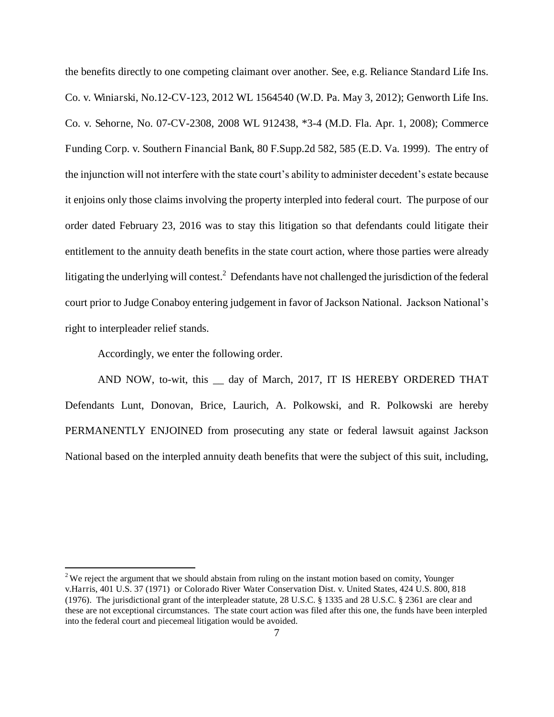the benefits directly to one competing claimant over another. See, e.g. Reliance Standard Life Ins. Co. v. Winiarski, No.12-CV-123, 2012 WL 1564540 (W.D. Pa. May 3, 2012); Genworth Life Ins. Co. v. Sehorne, No. 07-CV-2308, 2008 WL 912438, \*3-4 (M.D. Fla. Apr. 1, 2008); Commerce Funding Corp. v. Southern Financial Bank, 80 F.Supp.2d 582, 585 (E.D. Va. 1999). The entry of the injunction will not interfere with the state court's ability to administer decedent's estate because it enjoins only those claims involving the property interpled into federal court. The purpose of our order dated February 23, 2016 was to stay this litigation so that defendants could litigate their entitlement to the annuity death benefits in the state court action, where those parties were already litigating the underlying will contest.<sup>2</sup> Defendants have not challenged the jurisdiction of the federal court prior to Judge Conaboy entering judgement in favor of Jackson National. Jackson National's right to interpleader relief stands.

Accordingly, we enter the following order.

 $\overline{a}$ 

AND NOW, to-wit, this day of March, 2017, IT IS HEREBY ORDERED THAT Defendants Lunt, Donovan, Brice, Laurich, A. Polkowski, and R. Polkowski are hereby PERMANENTLY ENJOINED from prosecuting any state or federal lawsuit against Jackson National based on the interpled annuity death benefits that were the subject of this suit, including,

 $2$  We reject the argument that we should abstain from ruling on the instant motion based on comity, Younger v.Harris, 401 U.S. 37 (1971) or Colorado River Water Conservation Dist. v. United States, 424 U.S. 800, 818 (1976). The jurisdictional grant of the interpleader statute, 28 U.S.C. § 1335 and 28 U.S.C. § 2361 are clear and these are not exceptional circumstances. The state court action was filed after this one, the funds have been interpled into the federal court and piecemeal litigation would be avoided.